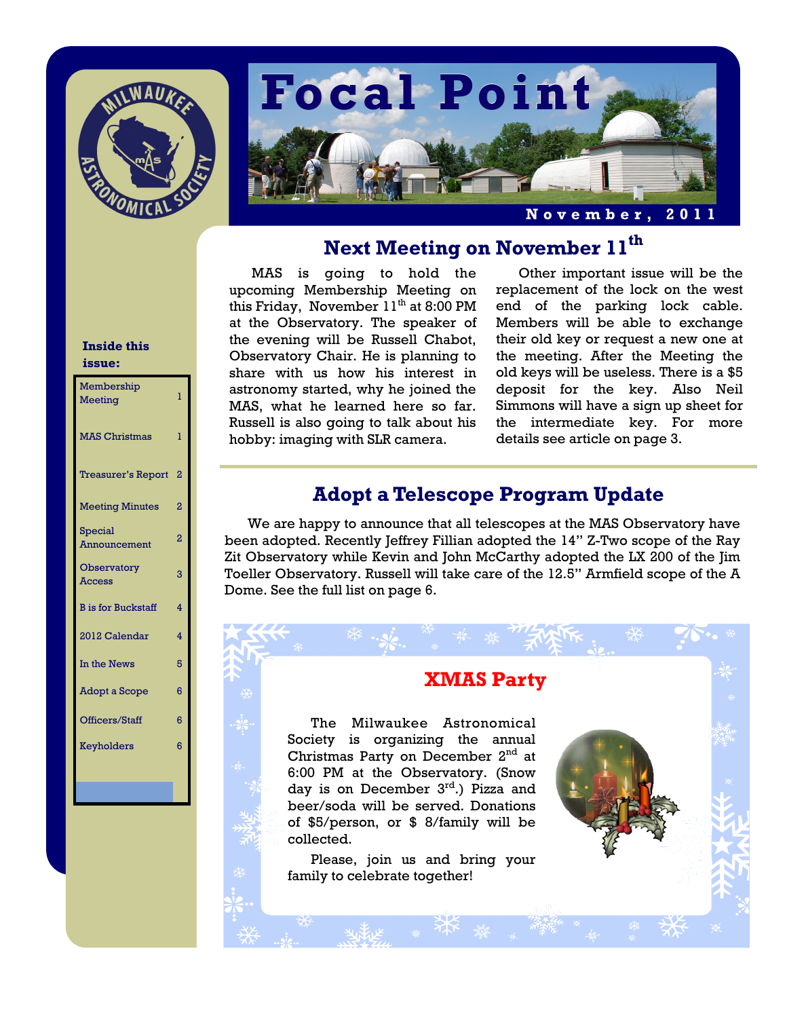



# **Next Meeting on November 11th**

MAS is going to hold the upcoming Membership Meeting on this Friday, November  $11<sup>th</sup>$  at 8:00 PM at the Observatory. The speaker of the evening will be Russell Chabot, Observatory Chair. He is planning to share with us how his interest in astronomy started, why he joined the MAS, what he learned here so far. Russell is also going to talk about his hobby: imaging with SLR camera.

Other important issue will be the replacement of the lock on the west end of the parking lock cable. Members will be able to exchange their old key or request a new one at the meeting. After the Meeting the old keys will be useless. There is a \$5 deposit for the key. Also Neil Simmons will have a sign up sheet for the intermediate key. For more details see article on page 3.

# **Adopt a Telescope Program Update**

We are happy to announce that all telescopes at the MAS Observatory have been adopted. Recently Jeffrey Fillian adopted the 14" Z-Two scope of the Ray Zit Observatory while Kevin and John McCarthy adopted the LX 200 of the Jim Toeller Observatory. Russell will take care of the 12.5" Armfield scope of the A Dome. See the full list on page 6.

# **XMAS Party**

The Milwaukee Astronomical Society is organizing the annual Christmas Party on December 2<sup>nd</sup> at 6:00 PM at the Observatory. (Snow day is on December 3<sup>rd</sup>.) Pizza and beer/soda will be served. Donations of \$5/person, or \$ 8/family will be collected.

 Please, join us and bring your family to celebrate together!

#### **Inside this issue:**

| Membership<br><b>Meeting</b> | 1                       |
|------------------------------|-------------------------|
| <b>MAS Christmas</b>         | ı                       |
| <b>Treasurer's Report</b>    | $\overline{a}$          |
| <b>Meeting Minutes</b>       | $\overline{2}$          |
| Special<br>Announcement      | $\overline{2}$          |
| Observatory<br><b>Access</b> | 3                       |
| <b>B</b> is for Buckstaff    | 4                       |
| 2012 Calendar                | $\overline{\mathbf{4}}$ |
| In the News                  | 5                       |
| Adopt a Scope                | 6                       |
| Officers/Staff               | 6                       |
| Keyholders                   | 6                       |
|                              |                         |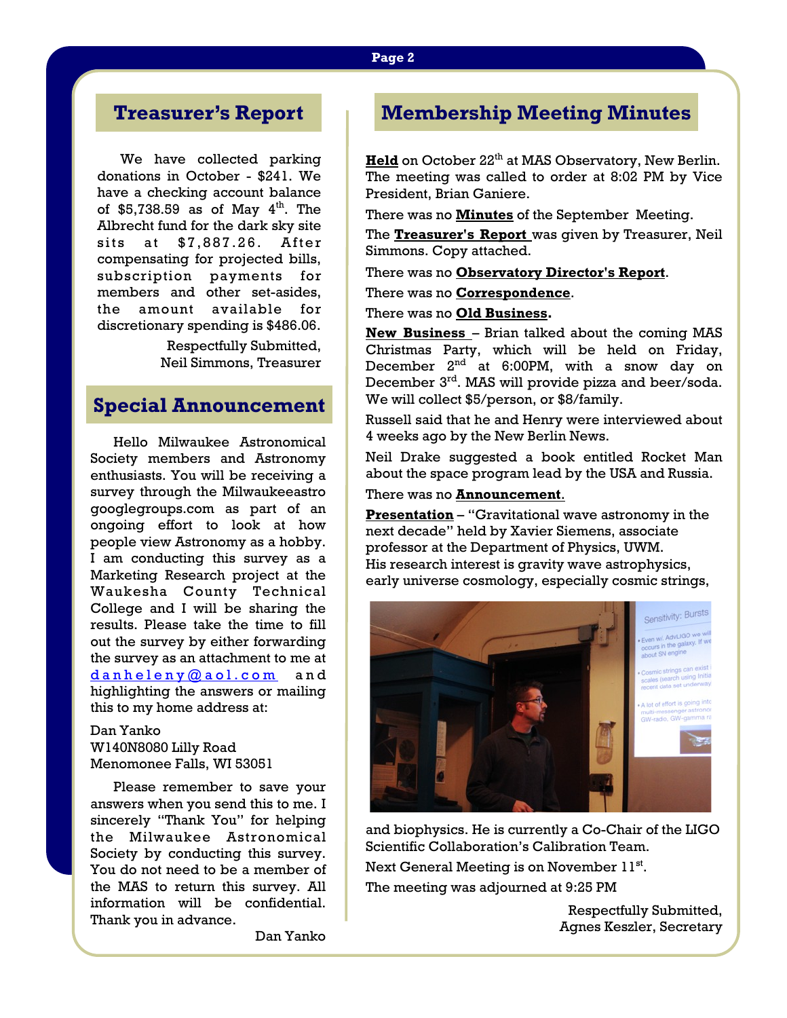# **Treasurer's Report**

We have collected parking donations in October - \$241. We have a checking account balance of \$5,738.59 as of May  $4<sup>th</sup>$ . The Albrecht fund for the dark sky site sits at \$7,887.26. After compensating for projected bills, subscription payments for members and other set-asides, the amount available for discretionary spending is \$486.06.

> Respectfully Submitted, Neil Simmons, Treasurer

## **Special Announcement**

Hello Milwaukee Astronomical Society members and Astronomy enthusiasts. You will be receiving a survey through the Milwaukeeastro googlegroups.com as part of an ongoing effort to look at how people view Astronomy as a hobby. I am conducting this survey as a Marketing Research project at the Waukesha County Technical College and I will be sharing the results. Please take the time to fill out the survey by either forwarding the survey as an attachment to me at [danheleny@aol.com](https://owamail.mcw.edu/owa/redir.aspx?C=c9901cea0559443dbf024b4bfc90c53e&URL=mailto%3adanheleny%40aol.com) and highlighting the answers or mailing this to my home address at:

#### Dan Yanko W140N8080 Lilly Road Menomonee Falls, WI 53051

 Please remember to save your answers when you send this to me. I sincerely "Thank You" for helping the Milwaukee Astronomical Society by conducting this survey. You do not need to be a member of the MAS to return this survey. All information will be confidential. Thank you in advance.

Dan Yanko

# **Membership Meeting Minutes**

**Held** on October 22<sup>th</sup> at MAS Observatory, New Berlin. The meeting was called to order at 8:02 PM by Vice President, Brian Ganiere.

There was no **Minutes** of the September Meeting.

The **Treasurer's Report** was given by Treasurer, Neil Simmons. Copy attached.

There was no **Observatory Director's Report**.

There was no **Correspondence**.

There was no **Old Business.**

**New Business** – Brian talked about the coming MAS Christmas Party, which will be held on Friday, December 2<sup>nd</sup> at 6:00PM, with a snow day on December 3rd. MAS will provide pizza and beer/soda. We will collect \$5/person, or \$8/family.

Russell said that he and Henry were interviewed about 4 weeks ago by the New Berlin News.

Neil Drake suggested a book entitled Rocket Man about the space program lead by the USA and Russia.

There was no **Announcement**.

**Presentation** – "Gravitational wave astronomy in the next decade" held by Xavier Siemens, associate professor at the Department of Physics, UWM. His research interest is gravity wave astrophysics, early universe cosmology, especially cosmic strings,



and biophysics. He is currently a Co-Chair of the LIGO Scientific Collaboration's Calibration Team. Next General Meeting is on November 11<sup>st</sup>. The meeting was adjourned at 9:25 PM

> Respectfully Submitted, Agnes Keszler, Secretary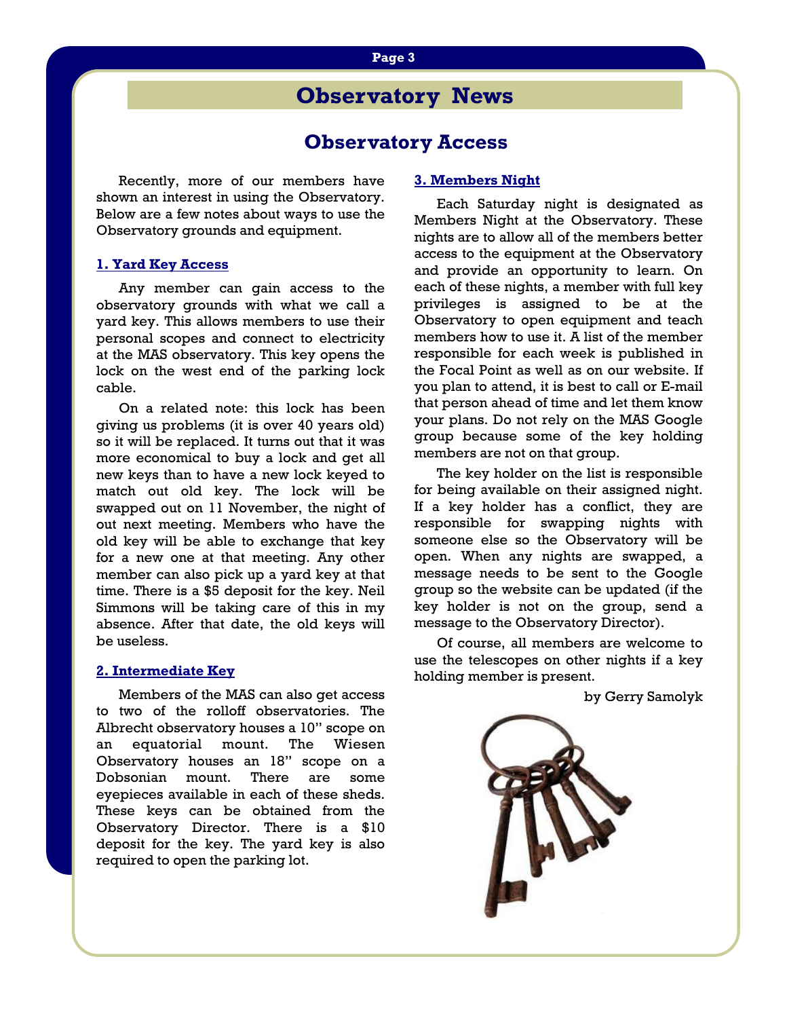#### **Page 3**

# **Observatory News**

## **Observatory Access**

 Recently, more of our members have shown an interest in using the Observatory. Below are a few notes about ways to use the Observatory grounds and equipment.

#### **1. Yard Key Access**

 Any member can gain access to the observatory grounds with what we call a yard key. This allows members to use their personal scopes and connect to electricity at the MAS observatory. This key opens the lock on the west end of the parking lock cable.

 On a related note: this lock has been giving us problems (it is over 40 years old) so it will be replaced. It turns out that it was more economical to buy a lock and get all new keys than to have a new lock keyed to match out old key. The lock will be swapped out on 11 November, the night of out next meeting. Members who have the old key will be able to exchange that key for a new one at that meeting. Any other member can also pick up a yard key at that time. There is a \$5 deposit for the key. Neil Simmons will be taking care of this in my absence. After that date, the old keys will be useless.

#### **2. Intermediate Key**

 Members of the MAS can also get access to two of the rolloff observatories. The Albrecht observatory houses a 10" scope on an equatorial mount. The Wiesen Observatory houses an 18" scope on a Dobsonian mount. There are some eyepieces available in each of these sheds. These keys can be obtained from the Observatory Director. There is a \$10 deposit for the key. The yard key is also required to open the parking lot.

#### **3. Members Night**

 Each Saturday night is designated as Members Night at the Observatory. These nights are to allow all of the members better access to the equipment at the Observatory and provide an opportunity to learn. On each of these nights, a member with full key privileges is assigned to be at the Observatory to open equipment and teach members how to use it. A list of the member responsible for each week is published in the Focal Point as well as on our website. If you plan to attend, it is best to call or E-mail that person ahead of time and let them know your plans. Do not rely on the MAS Google group because some of the key holding members are not on that group.

The key holder on the list is responsible for being available on their assigned night. If a key holder has a conflict, they are responsible for swapping nights with someone else so the Observatory will be open. When any nights are swapped, a message needs to be sent to the Google group so the website can be updated (if the key holder is not on the group, send a message to the Observatory Director).

 Of course, all members are welcome to use the telescopes on other nights if a key holding member is present.

by Gerry Samolyk

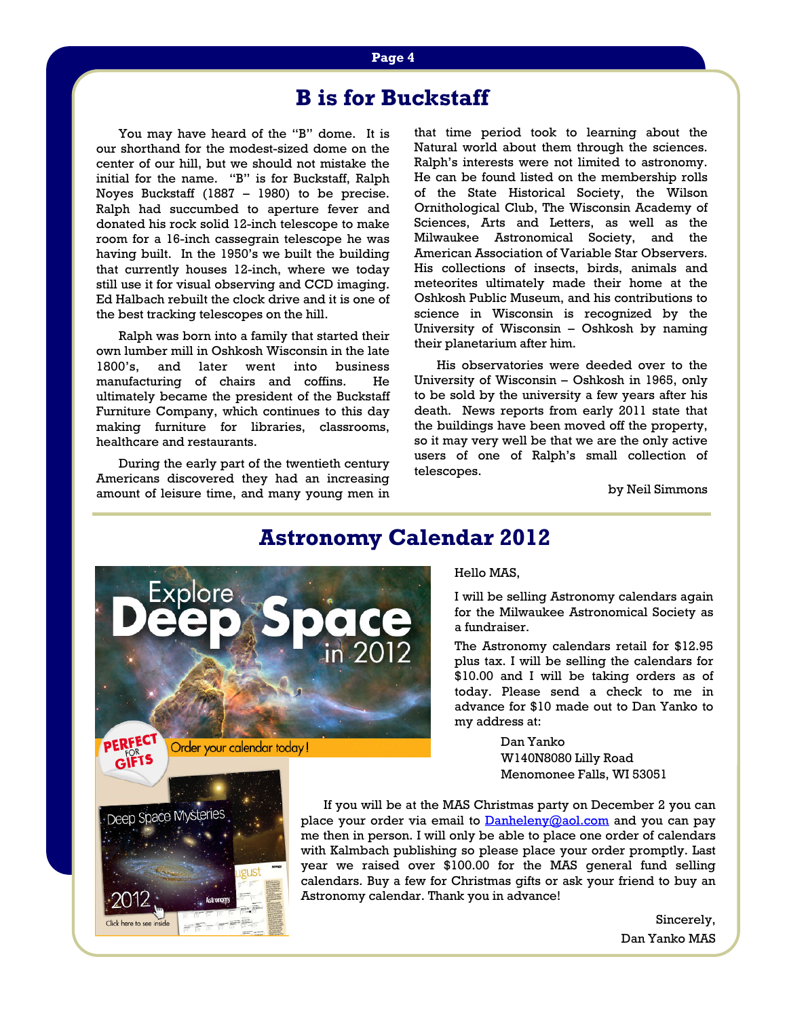# **B is for Buckstaff**

You may have heard of the "B" dome. It is our shorthand for the modest-sized dome on the center of our hill, but we should not mistake the initial for the name. "B" is for Buckstaff, Ralph Noyes Buckstaff (1887 – 1980) to be precise. Ralph had succumbed to aperture fever and donated his rock solid 12-inch telescope to make room for a 16-inch cassegrain telescope he was having built. In the 1950's we built the building that currently houses 12-inch, where we today still use it for visual observing and CCD imaging. Ed Halbach rebuilt the clock drive and it is one of the best tracking telescopes on the hill.

 Ralph was born into a family that started their own lumber mill in Oshkosh Wisconsin in the late 1800's, and later went into business manufacturing of chairs and coffins. He ultimately became the president of the Buckstaff Furniture Company, which continues to this day making furniture for libraries, classrooms, healthcare and restaurants.

 During the early part of the twentieth century Americans discovered they had an increasing amount of leisure time, and many young men in

that time period took to learning about the Natural world about them through the sciences. Ralph's interests were not limited to astronomy. He can be found listed on the membership rolls of the State Historical Society, the Wilson Ornithological Club, The Wisconsin Academy of Sciences, Arts and Letters, as well as the Milwaukee Astronomical Society, and the American Association of Variable Star Observers. His collections of insects, birds, animals and meteorites ultimately made their home at the Oshkosh Public Museum, and his contributions to science in Wisconsin is recognized by the University of Wisconsin – Oshkosh by naming their planetarium after him.

 His observatories were deeded over to the University of Wisconsin – Oshkosh in 1965, only to be sold by the university a few years after his death. News reports from early 2011 state that the buildings have been moved off the property, so it may very well be that we are the only active users of one of Ralph's small collection of telescopes.

by Neil Simmons

# **Astronomy Calendar 2012**



Click here to see ins

Hello MAS,

I will be selling Astronomy calendars again for the Milwaukee Astronomical Society as a fundraiser.

The Astronomy calendars retail for \$12.95 plus tax. I will be selling the calendars for \$10.00 and I will be taking orders as of today. Please send a check to me in advance for \$10 made out to Dan Yanko to my address at:

> Dan Yanko W140N8080 Lilly Road Menomonee Falls, WI 53051

 If you will be at the MAS Christmas party on December 2 you can place your order via email to **[Danheleny@aol.com](https://owamail.mcw.edu/owa/redir.aspx?C=c9901cea0559443dbf024b4bfc90c53e&URL=mailto%3aDanheleny%40aol.com)** and you can pay me then in person. I will only be able to place one order of calendars with Kalmbach publishing so please place your order promptly. Last year we raised over \$100.00 for the MAS general fund selling calendars. Buy a few for Christmas gifts or ask your friend to buy an Astronomy calendar. Thank you in advance!

> Sincerely, Dan Yanko MAS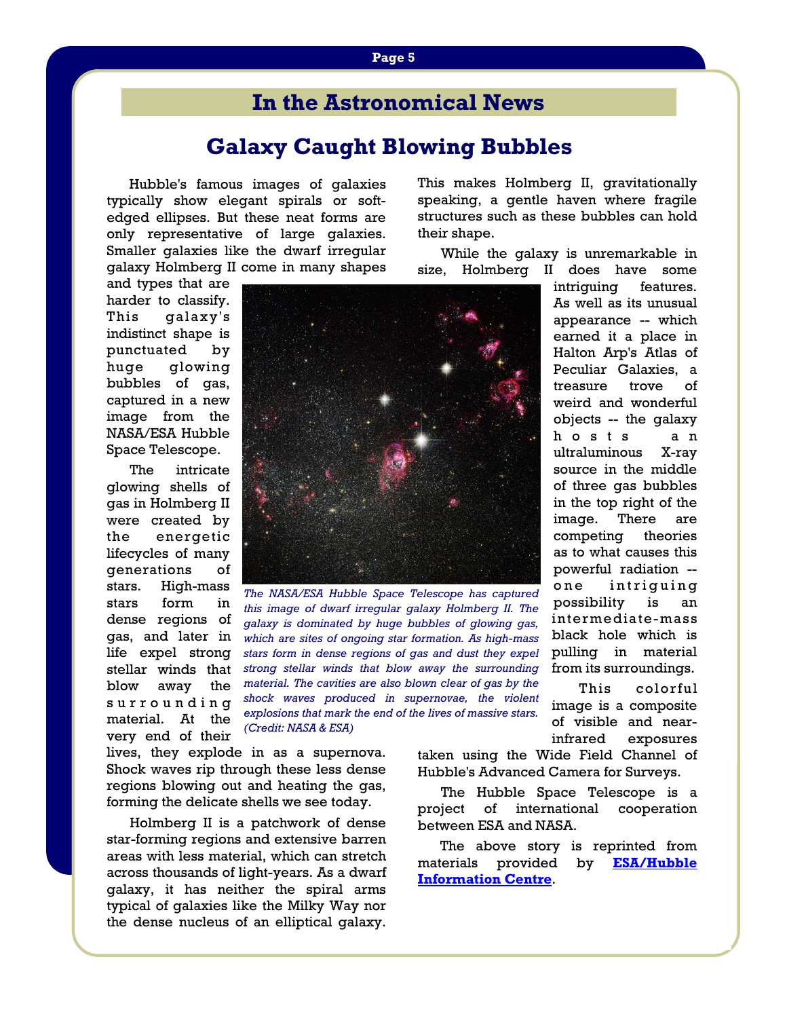# **In the Astronomical News**

# **Galaxy Caught Blowing Bubbles**

Hubble's famous images of galaxies typically show elegant spirals or softedged ellipses. But these neat forms are only representative of large galaxies. Smaller galaxies like the dwarf irregular galaxy Holmberg II come in many shapes

and types that are harder to classify. This galaxy's indistinct shape is punctuated by huge glowing bubbles of gas, captured in a new image from the NASA/ESA Hubble Space Telescope.

 The intricate glowing shells of gas in Holmberg II were created by the energetic lifecycles of many generations of stars. High-mass stars form in dense regions of gas, and later in life expel strong stellar winds that blow away the s u r r o u n d i n g material. At the very end of their



*The NASA/ESA Hubble Space Telescope has captured this image of dwarf irregular galaxy Holmberg II. The galaxy is dominated by huge bubbles of glowing gas, which are sites of ongoing star formation. As high-mass stars form in dense regions of gas and dust they expel strong stellar winds that blow away the surrounding material. The cavities are also blown clear of gas by the shock waves produced in supernovae, the violent explosions that mark the end of the lives of massive stars. (Credit: NASA & ESA)*

lives, they explode in as a supernova. Shock waves rip through these less dense regions blowing out and heating the gas, forming the delicate shells we see today.

 Holmberg II is a patchwork of dense star-forming regions and extensive barren areas with less material, which can stretch across thousands of light-years. As a dwarf galaxy, it has neither the spiral arms typical of galaxies like the Milky Way nor the dense nucleus of an elliptical galaxy.

speaking, a gentle haven where fragile structures such as these bubbles can hold their shape.

This makes Holmberg II, gravitationally

 While the galaxy is unremarkable in size, Holmberg II does have some

> intriguing features. As well as its unusual appearance -- which earned it a place in Halton Arp's Atlas of Peculiar Galaxies, a treasure trove of weird and wonderful objects -- the galaxy h o s t s a n ultraluminous X-ray source in the middle of three gas bubbles in the top right of the image. There are competing theories as to what causes this powerful radiation - one intriguing possibility is an intermediate-mass black hole which is pulling in material from its surroundings.

> This colorful image is a composite of visible and nearinfrared exposures

taken using the Wide Field Channel of Hubble's Advanced Camera for Surveys.

 The Hubble Space Telescope is a project of international cooperation between ESA and NASA.

 The above story is reprinted from materials provided by **[ESA/Hubble](http://www.spacetelescope.org)  [Information Centre](http://www.spacetelescope.org)**.